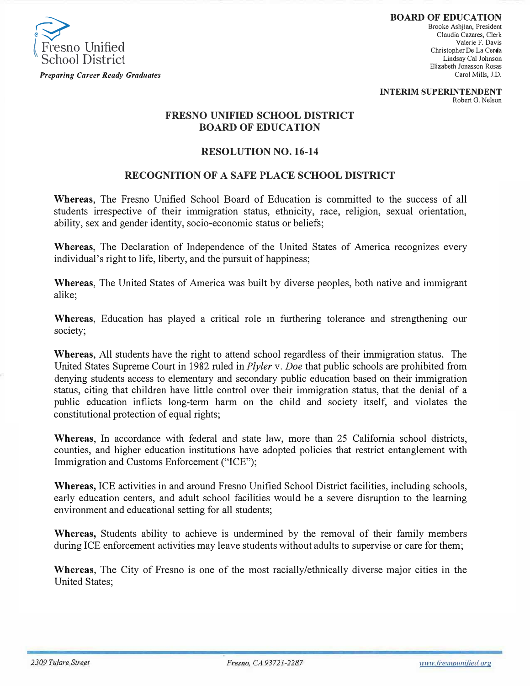

**BOARD OF EDUCATION**  Brooke Ashjian, President Claudia Cazares, Clerk Valerie F. Davis Christopher De La Cerda Lindsay Cal Johnson Elizabeth Jonasson Rosas Carol Mills, J.D.

**INTERIM SUPERINTENDENT**  Robert G. Nelson

## **FRESNO UNIFIED SCHOOL DISTRICT BOARD OF EDUCATION**

## **RESOLUTION NO. 16-14**

## **RECOGNITION OF A SAFE PLACE SCHOOL DISTRICT**

**Whereas,** The Fresno Unified School Board of Education is committed to the success of all students irrespective of their immigration status, ethnicity, race, religion, sexual orientation, ability, sex and gender identity, socio-economic status or beliefs;

**Whereas,** The Declaration of Independence of the United States of America recognizes every individual's right to life, liberty, and the pursuit of happiness;

**Whereas,** The United States of America was built by diverse peoples, both native and immigrant alike;

**Whereas,** Education has played a critical role m furthering tolerance and strengthening our society;

**Whereas,** All students have the right to attend school regardless of their immigration status. The United States Supreme Court in 1982 ruled in *Plyler* v. *Doe* that public schools are prohibited from denying students access to elementary and secondary public education based on their immigration status, citing that children have little control over their immigration status, that the denial of a public education inflicts long-term harm on the child and society itself, and violates the constitutional protection of equal rights;

**Whereas,** In accordance with federal and state law, more than 25 California school districts, counties, and higher education institutions have adopted policies that restrict entanglement with Immigration and Customs Enforcement ("ICE");

**Whereas,** ICE activities in and around Fresno Unified School District facilities, including schools, early education centers, and adult school facilities would be a severe disruption to the learning environment and educational setting for all students;

**Whereas,** Students ability to achieve is undermined by the removal of their family members during ICE enforcement activities may leave students without adults to supervise or care for them;

**Whereas,** The City of Fresno is one of the most racially/ethnically diverse major cities in the United States;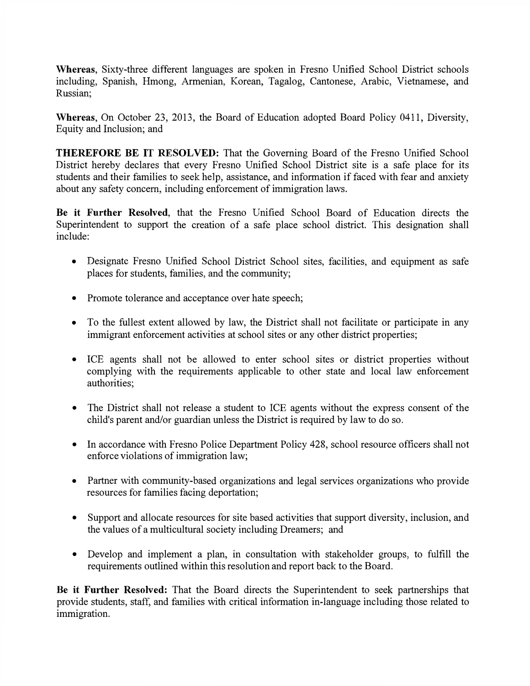**Whereas,** Sixty-three different languages are spoken in Fresno Unified School District schools including, Spanish, Hmong, Armenian, Korean, Tagalog, Cantonese, Arabic, Vietnamese, and Russian;

**Whereas,** On October 23, 2013, the Board of Education adopted Board Policy 0411, Diversity, Equity and Inclusion; and

**THEREFORE BE IT RESOLVED:** That the Governing Board of the Fresno Unified School District hereby declares that every Fresno Unified School District site is a safe place for its students and their families to seek help, assistance, and information if faced with fear and anxiety about any safety concern, including enforcement of immigration laws.

**Be it Further Resolved,** that the Fresno Unified School Board of Education directs the Superintendent to support the creation of a safe place school district. This designation shall include:

- Designate Fresno Unified School District School sites, facilities, and equipment as safe places for students, families, and the community;
- Promote tolerance and acceptance over hate speech;
- To the fullest extent allowed by law, the District shall not facilitate or participate in any immigrant enforcement activities at school sites or any other district properties;
- ICE agents shall not be allowed to enter school sites or district properties without complying with the requirements applicable to other state and local law enforcement authorities;
- The District shall not release a student to ICE agents without the express consent of the child's parent and/or guardian unless the District is required by law to do so.
- In accordance with Fresno Police Department Policy 428, school resource officers shall not enforce violations of immigration law;
- Partner with community-based organizations and legal services organizations who provide resources for families facing deportation;
- Support and allocate resources for site based activities that support diversity, inclusion, and the values of a multicultural society including Dreamers; and
- Develop and implement a plan, in consultation with stakeholder groups, to fulfill the requirements outlined within this resolution and report back to the Board.

**Be it Further Resolved:** That the Board directs the Superintendent to seek partnerships that provide students, staff, and families with critical information in-language including those related to immigration.